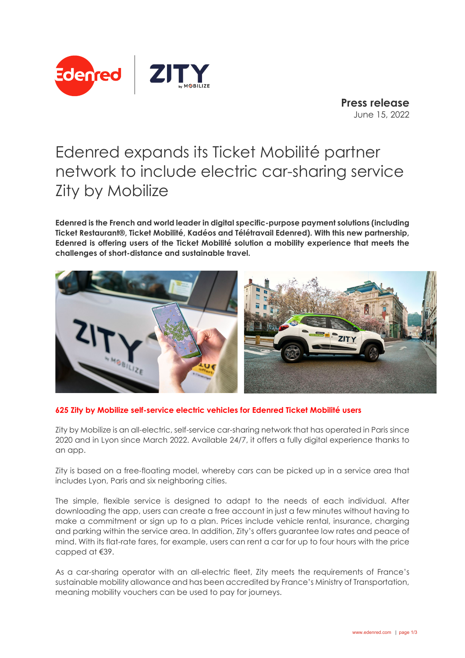

**Press release** June 15, 2022

# Edenred expands its Ticket Mobilité partner network to include electric car-sharing service Zity by Mobilize

**Edenred is the French and world leader in digital specific-purpose payment solutions (including Ticket Restaurant®, Ticket Mobilité, Kadéos and Télétravail Edenred). With this new partnership, Edenred is offering users of the Ticket Mobilité solution a mobility experience that meets the challenges of short-distance and sustainable travel.** 



# **625 Zity by Mobilize self-service electric vehicles for Edenred Ticket Mobilité users**

Zity by Mobilize is an all-electric, self-service car-sharing network that has operated in Paris since 2020 and in Lyon since March 2022. Available 24/7, it offers a fully digital experience thanks to an app.

Zity is based on a free-floating model, whereby cars can be picked up in a service area that includes Lyon, Paris and six neighboring cities.

The simple, flexible service is designed to adapt to the needs of each individual. After downloading the app, users can create a free account in just a few minutes without having to make a commitment or sign up to a plan. Prices include vehicle rental, insurance, charging and parking within the service area. In addition, Zity's offers guarantee low rates and peace of mind. With its flat-rate fares, for example, users can rent a car for up to four hours with the price capped at €39.

As a car-sharing operator with an all-electric fleet, Zity meets the requirements of France's sustainable mobility allowance and has been accredited by France's Ministry of Transportation, meaning mobility vouchers can be used to pay for journeys.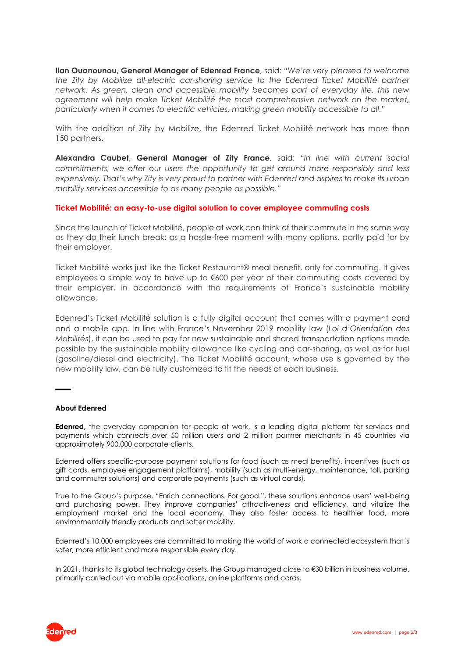**Ilan Ouanounou, General Manager of Edenred France**, said: *"We're very pleased to welcome the Zity by Mobilize all-electric car-sharing service to the Edenred Ticket Mobilité partner network. As green, clean and accessible mobility becomes part of everyday life, this new agreement will help make Ticket Mobilité the most comprehensive network on the market, particularly when it comes to electric vehicles, making green mobility accessible to all."*

With the addition of Zity by Mobilize, the Edenred Ticket Mobilité network has more than 150 partners.

**Alexandra Caubet, General Manager of Zity France**, said: *"In line with current social commitments, we offer our users the opportunity to get around more responsibly and less expensively. That's why Zity is very proud to partner with Edenred and aspires to make its urban mobility services accessible to as many people as possible."*

# **Ticket Mobilité: an easy-to-use digital solution to cover employee commuting costs**

Since the launch of Ticket Mobilité, people at work can think of their commute in the same way as they do their lunch break: as a hassle-free moment with many options, partly paid for by their employer.

Ticket Mobilité works just like the Ticket Restaurant® meal benefit, only for commuting. It gives employees a simple way to have up to €600 per year of their commuting costs covered by their employer, in accordance with the requirements of France's sustainable mobility allowance.

Edenred's Ticket Mobilité solution is a fully digital account that comes with a payment card and a mobile app. In line with France's November 2019 mobility law (*Loi d'Orientation des Mobilités*), it can be used to pay for new sustainable and shared transportation options made possible by the sustainable mobility allowance like cycling and car-sharing, as well as for fuel (gasoline/diesel and electricity). The Ticket Mobilité account, whose use is governed by the new mobility law, can be fully customized to fit the needs of each business.

## **About Edenred**

▬▬

**Edenred,** the everyday companion for people at work, is a leading digital platform for services and payments which connects over 50 million users and 2 million partner merchants in 45 countries via approximately 900,000 corporate clients.

Edenred offers specific-purpose payment solutions for food (such as meal benefits), incentives (such as gift cards, employee engagement platforms), mobility (such as multi-energy, maintenance, toll, parking and commuter solutions) and corporate payments (such as virtual cards).

True to the Group's purpose, "Enrich connections. For good.", these solutions enhance users' well-being and purchasing power. They improve companies' attractiveness and efficiency, and vitalize the employment market and the local economy. They also foster access to healthier food, more environmentally friendly products and softer mobility.

Edenred's 10,000 employees are committed to making the world of work a connected ecosystem that is safer, more efficient and more responsible every day.

In 2021, thanks to its global technology assets, the Group managed close to €30 billion in business volume, primarily carried out via mobile applications, online platforms and cards.